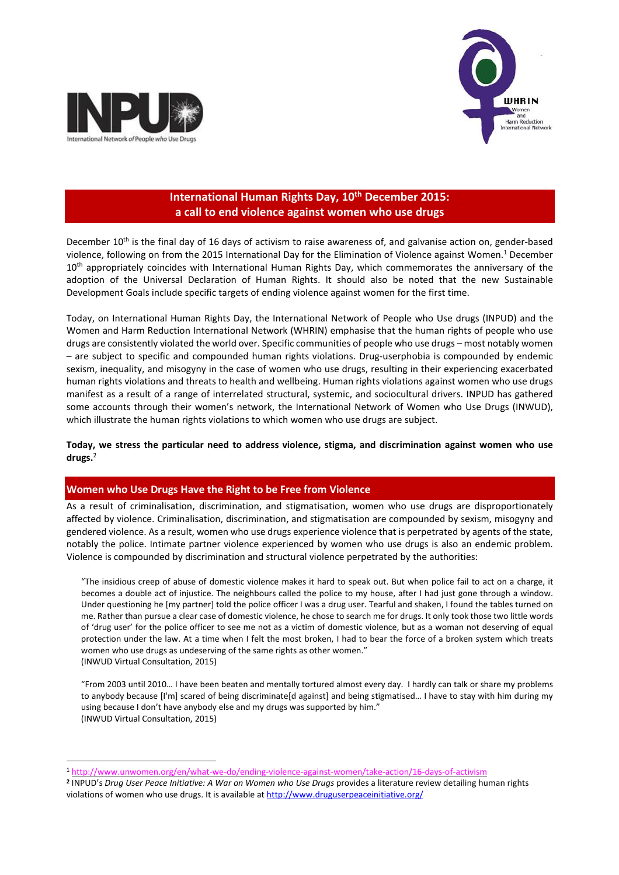

 $\overline{a}$ 



# **International Human Rights Day, 10th December 2015: a call to end violence against women who use drugs**

December 10<sup>th</sup> is the final day of 16 days of activism to raise awareness of, and galvanise action on, gender-based violence, following on from the 2015 International Day for the Elimination of Violence against Women.<sup>1</sup> December 10<sup>th</sup> appropriately coincides with International Human Rights Day, which commemorates the anniversary of the adoption of the Universal Declaration of Human Rights. It should also be noted that the new Sustainable Development Goals include specific targets of ending violence against women for the first time.

Today, on International Human Rights Day, the International Network of People who Use drugs (INPUD) and the Women and Harm Reduction International Network (WHRIN) emphasise that the human rights of people who use drugs are consistently violated the world over. Specific communities of people who use drugs – most notably women – are subject to specific and compounded human rights violations. Drug-userphobia is compounded by endemic sexism, inequality, and misogyny in the case of women who use drugs, resulting in their experiencing exacerbated human rights violations and threats to health and wellbeing. Human rights violations against women who use drugs manifest as a result of a range of interrelated structural, systemic, and sociocultural drivers. INPUD has gathered some accounts through their women's network, the International Network of Women who Use Drugs (INWUD), which illustrate the human rights violations to which women who use drugs are subject.

**Today, we stress the particular need to address violence, stigma, and discrimination against women who use drugs.**<sup>2</sup>

## **Women who Use Drugs Have the Right to be Free from Violence**

As a result of criminalisation, discrimination, and stigmatisation, women who use drugs are disproportionately affected by violence. Criminalisation, discrimination, and stigmatisation are compounded by sexism, misogyny and gendered violence. As a result, women who use drugs experience violence that is perpetrated by agents of the state, notably the police. Intimate partner violence experienced by women who use drugs is also an endemic problem. Violence is compounded by discrimination and structural violence perpetrated by the authorities:

"The insidious creep of abuse of domestic violence makes it hard to speak out. But when police fail to act on a charge, it becomes a double act of injustice. The neighbours called the police to my house, after I had just gone through a window. Under questioning he [my partner] told the police officer I was a drug user. Tearful and shaken, I found the tables turned on me. Rather than pursue a clear case of domestic violence, he chose to search me for drugs. It only took those two little words of 'drug user' for the police officer to see me not as a victim of domestic violence, but as a woman not deserving of equal protection under the law. At a time when I felt the most broken, I had to bear the force of a broken system which treats women who use drugs as undeserving of the same rights as other women." (INWUD Virtual Consultation, 2015)

"From 2003 until 2010… I have been beaten and mentally tortured almost every day. I hardly can talk or share my problems to anybody because [I'm] scared of being discriminate[d against] and being stigmatised… I have to stay with him during my using because I don't have anybody else and my drugs was supported by him." (INWUD Virtual Consultation, 2015)

<sup>1</sup> <http://www.unwomen.org/en/what-we-do/ending-violence-against-women/take-action/16-days-of-activism>

**<sup>2</sup>** INPUD's *Drug User Peace Initiative: A War on Women who Use Drugs* provides a literature review detailing human rights violations of women who use drugs. It is available at <http://www.druguserpeaceinitiative.org/>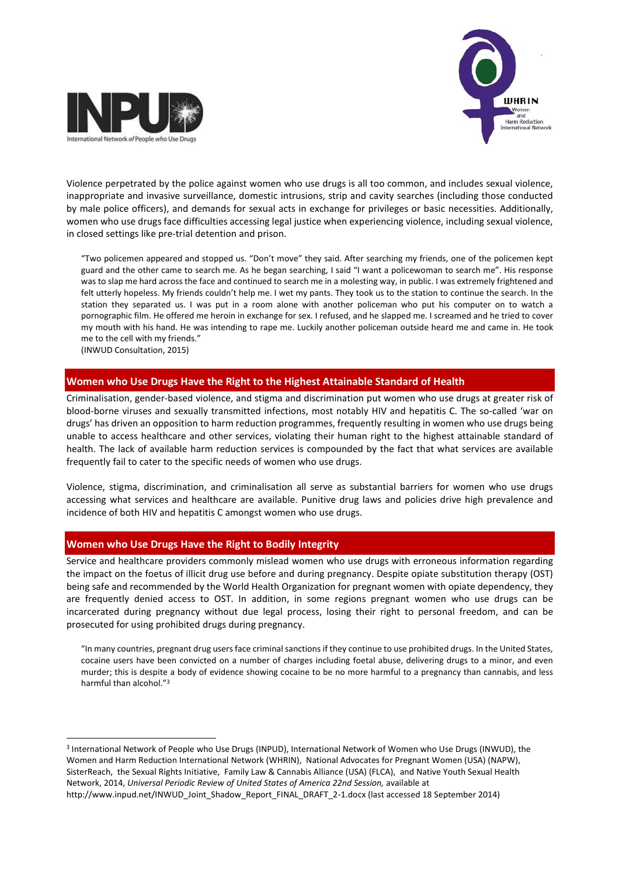



Violence perpetrated by the police against women who use drugs is all too common, and includes sexual violence, inappropriate and invasive surveillance, domestic intrusions, strip and cavity searches (including those conducted by male police officers), and demands for sexual acts in exchange for privileges or basic necessities. Additionally, women who use drugs face difficulties accessing legal justice when experiencing violence, including sexual violence, in closed settings like pre-trial detention and prison.

"Two policemen appeared and stopped us. "Don't move" they said. After searching my friends, one of the policemen kept guard and the other came to search me. As he began searching, I said "I want a policewoman to search me". His response was to slap me hard across the face and continued to search me in a molesting way, in public. I was extremely frightened and felt utterly hopeless. My friends couldn't help me. I wet my pants. They took us to the station to continue the search. In the station they separated us. I was put in a room alone with another policeman who put his computer on to watch a pornographic film. He offered me heroin in exchange for sex. I refused, and he slapped me. I screamed and he tried to cover my mouth with his hand. He was intending to rape me. Luckily another policeman outside heard me and came in. He took me to the cell with my friends."

(INWUD Consultation, 2015)

### **Women who Use Drugs Have the Right to the Highest Attainable Standard of Health**

Criminalisation, gender-based violence, and stigma and discrimination put women who use drugs at greater risk of blood-borne viruses and sexually transmitted infections, most notably HIV and hepatitis C. The so-called 'war on drugs' has driven an opposition to harm reduction programmes, frequently resulting in women who use drugs being unable to access healthcare and other services, violating their human right to the highest attainable standard of health. The lack of available harm reduction services is compounded by the fact that what services are available frequently fail to cater to the specific needs of women who use drugs.

Violence, stigma, discrimination, and criminalisation all serve as substantial barriers for women who use drugs accessing what services and healthcare are available. Punitive drug laws and policies drive high prevalence and incidence of both HIV and hepatitis C amongst women who use drugs.

#### **Women who Use Drugs Have the Right to Bodily Integrity**

Service and healthcare providers commonly mislead women who use drugs with erroneous information regarding the impact on the foetus of illicit drug use before and during pregnancy. Despite opiate substitution therapy (OST) being safe and recommended by the World Health Organization for pregnant women with opiate dependency, they are frequently denied access to OST. In addition, in some regions pregnant women who use drugs can be incarcerated during pregnancy without due legal process, losing their right to personal freedom, and can be prosecuted for using prohibited drugs during pregnancy.

"In many countries, pregnant drug users face criminal sanctions if they continue to use prohibited drugs. In the United States, cocaine users have been convicted on a number of charges including foetal abuse, delivering drugs to a minor, and even murder; this is despite a body of evidence showing cocaine to be no more harmful to a pregnancy than cannabis, and less harmful than alcohol."<sup>3</sup>

 $\overline{a}$ 3 International Network of People who Use Drugs (INPUD), International Network of Women who Use Drugs (INWUD), the Women and Harm Reduction International Network (WHRIN), National Advocates for Pregnant Women (USA) (NAPW), SisterReach, the Sexual Rights Initiative, Family Law & Cannabis Alliance (USA) (FLCA), and Native Youth Sexual Health Network, 2014, *Universal Periodic Review of United States of America 22nd Session,* available at http://www.inpud.net/INWUD\_Joint\_Shadow\_Report\_FINAL\_DRAFT\_2-1.docx (last accessed 18 September 2014)